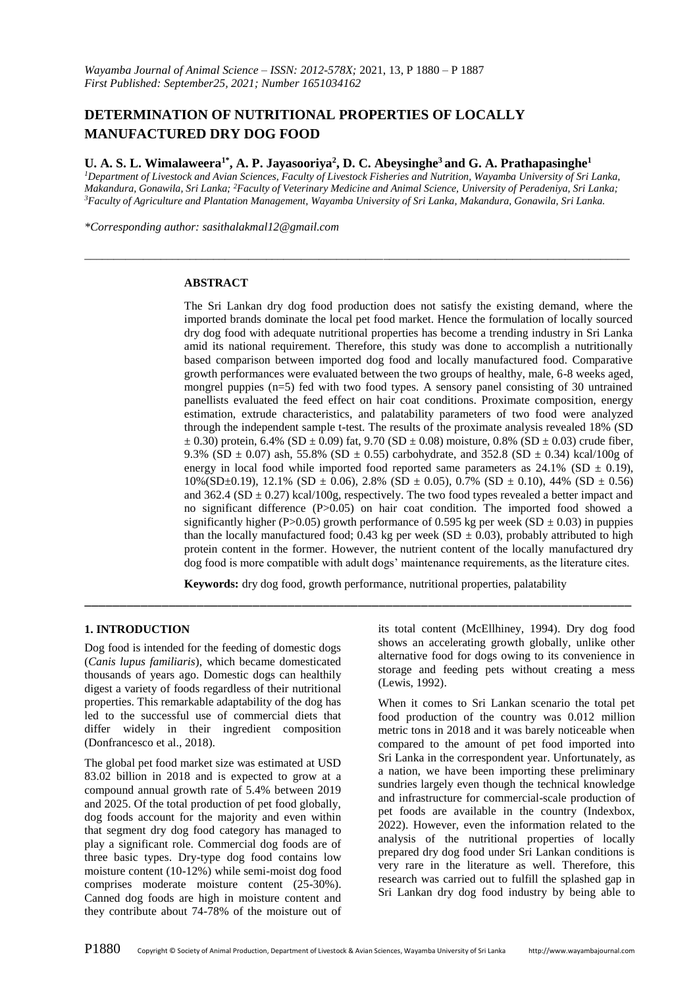# **DETERMINATION OF NUTRITIONAL PROPERTIES OF LOCALLY MANUFACTURED DRY DOG FOOD**

### **U. A. S. L. Wimalaweera1\* , A. P. Jayasooriya 2 , D. C. Abeysinghe<sup>3</sup>and G. A. Prathapasinghe<sup>1</sup>**

*<sup>1</sup>Department of Livestock and Avian Sciences, Faculty of Livestock Fisheries and Nutrition, Wayamba University of Sri Lanka, Makandura, Gonawila, Sri Lanka; <sup>2</sup>Faculty of Veterinary Medicine and Animal Science, University of Peradeniya, Sri Lanka; <sup>3</sup>Faculty of Agriculture and Plantation Management, Wayamba University of Sri Lanka, Makandura, Gonawila, Sri Lanka.*

*\_\_\_\_\_\_\_\_\_\_\_\_\_\_\_\_\_\_\_\_\_\_\_\_\_\_\_\_\_\_\_\_\_\_\_\_\_\_\_\_\_\_\_\_\_\_\_\_\_\_\_\_\_\_\_\_\_\_\_\_\_\_\_\_\_\_\_\_\_\_\_\_\_\_\_\_\_\_\_\_\_\_\_\_\_\_\_\_\_\_\_\_\_*

*\*Corresponding author: sasithalakmal12@gmail.com*

#### **ABSTRACT**

The Sri Lankan dry dog food production does not satisfy the existing demand, where the imported brands dominate the local pet food market. Hence the formulation of locally sourced dry dog food with adequate nutritional properties has become a trending industry in Sri Lanka amid its national requirement. Therefore, this study was done to accomplish a nutritionally based comparison between imported dog food and locally manufactured food. Comparative growth performances were evaluated between the two groups of healthy, male, 6-8 weeks aged, mongrel puppies (n=5) fed with two food types. A sensory panel consisting of 30 untrained panellists evaluated the feed effect on hair coat conditions. Proximate composition, energy estimation, extrude characteristics, and palatability parameters of two food were analyzed through the independent sample t-test. The results of the proximate analysis revealed 18% (SD  $\pm$  0.30) protein, 6.4% (SD  $\pm$  0.09) fat, 9.70 (SD  $\pm$  0.08) moisture, 0.8% (SD  $\pm$  0.03) crude fiber, 9.3% (SD  $\pm$  0.07) ash, 55.8% (SD  $\pm$  0.55) carbohydrate, and 352.8 (SD  $\pm$  0.34) kcal/100g of energy in local food while imported food reported same parameters as  $24.1\%$  (SD  $\pm$  0.19),  $10\%$ (SD $\pm$ 0.19), 12.1% (SD  $\pm$  0.06), 2.8% (SD  $\pm$  0.05), 0.7% (SD  $\pm$  0.10), 44% (SD  $\pm$  0.56) and 362.4 (SD  $\pm$  0.27) kcal/100g, respectively. The two food types revealed a better impact and no significant difference (P>0.05) on hair coat condition. The imported food showed a significantly higher (P>0.05) growth performance of 0.595 kg per week (SD  $\pm$  0.03) in puppies than the locally manufactured food; 0.43 kg per week (SD  $\pm$  0.03), probably attributed to high protein content in the former. However, the nutrient content of the locally manufactured dry dog food is more compatible with adult dogs' maintenance requirements, as the literature cites.

**Keywords:** dry dog food, growth performance, nutritional properties, palatability

\_\_\_\_\_\_\_\_\_\_\_\_\_\_\_\_\_\_\_\_\_\_\_\_\_\_\_\_\_\_\_\_\_\_\_\_\_\_\_\_\_\_\_\_\_\_\_\_\_\_\_\_\_\_\_\_\_\_\_\_\_\_\_\_\_\_\_\_\_\_\_\_\_\_\_\_\_\_

#### **1. INTRODUCTION**

Dog food is intended for the feeding of domestic dogs (*Canis lupus familiaris*), which became domesticated thousands of years ago. Domestic dogs can healthily digest a variety of foods regardless of their nutritional properties. This remarkable adaptability of the dog has led to the successful use of commercial diets that differ widely in their ingredient composition (Donfrancesco et al., 2018).

The global pet food market size was estimated at USD 83.02 billion in 2018 and is expected to grow at a compound annual growth rate of 5.4% between 2019 and 2025. Of the total production of pet food globally, dog foods account for the majority and even within that segment dry dog food category has managed to play a significant role. Commercial dog foods are of three basic types. Dry-type dog food contains low moisture content (10-12%) while semi-moist dog food comprises moderate moisture content (25-30%). Canned dog foods are high in moisture content and they contribute about 74-78% of the moisture out of

its total content (McEllhiney, 1994). Dry dog food shows an accelerating growth globally, unlike other alternative food for dogs owing to its convenience in storage and feeding pets without creating a mess (Lewis, 1992).

When it comes to Sri Lankan scenario the total pet food production of the country was 0.012 million metric tons in 2018 and it was barely noticeable when compared to the amount of pet food imported into Sri Lanka in the correspondent year. Unfortunately, as a nation, we have been importing these preliminary sundries largely even though the technical knowledge and infrastructure for commercial-scale production of pet foods are available in the country (Indexbox, 2022). However, even the information related to the analysis of the nutritional properties of locally prepared dry dog food under Sri Lankan conditions is very rare in the literature as well. Therefore, this research was carried out to fulfill the splashed gap in Sri Lankan dry dog food industry by being able to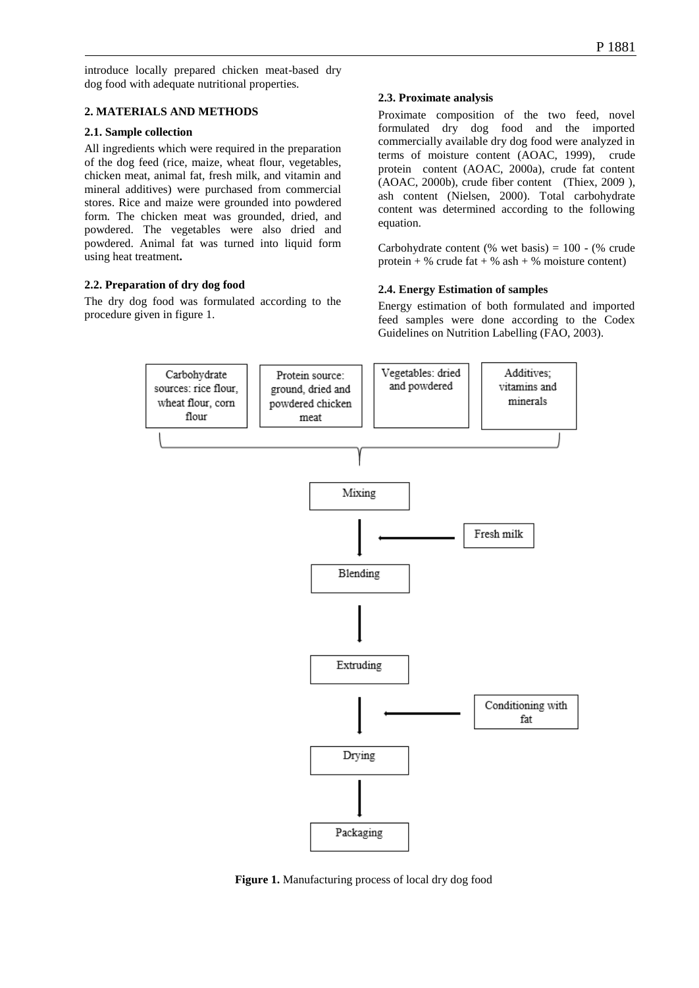introduce locally prepared chicken meat-based dry dog food with adequate nutritional properties.

### **2. MATERIALS AND METHODS**

### **2.1. Sample collection**

All ingredients which were required in the preparation of the dog feed (rice, maize, wheat flour, vegetables, chicken meat, animal fat, fresh milk, and vitamin and mineral additives) were purchased from commercial stores. Rice and maize were grounded into powdered form. The chicken meat was grounded, dried, and powdered. The vegetables were also dried and powdered. Animal fat was turned into liquid form using heat treatment**.**

## **2.2. Preparation of dry dog food**

The dry dog food was formulated according to the procedure given in figure 1.

## **2.3. Proximate analysis**

Proximate composition of the two feed, novel formulated dry dog food and the imported commercially available dry dog food were analyzed in terms of moisture content (AOAC, 1999), crude protein content (AOAC, 2000a), crude fat content (AOAC, 2000b), crude fiber content (Thiex, 2009 ), ash content (Nielsen, 2000). Total carbohydrate content was determined according to the following equation.

Carbohydrate content (% wet basis) =  $100 -$  (% crude protein + % crude fat + % ash + % moisture content)

## **2.4. Energy Estimation of samples**

Energy estimation of both formulated and imported feed samples were done according to the Codex Guidelines on Nutrition Labelling (FAO, 2003).



**Figure 1.** Manufacturing process of local dry dog food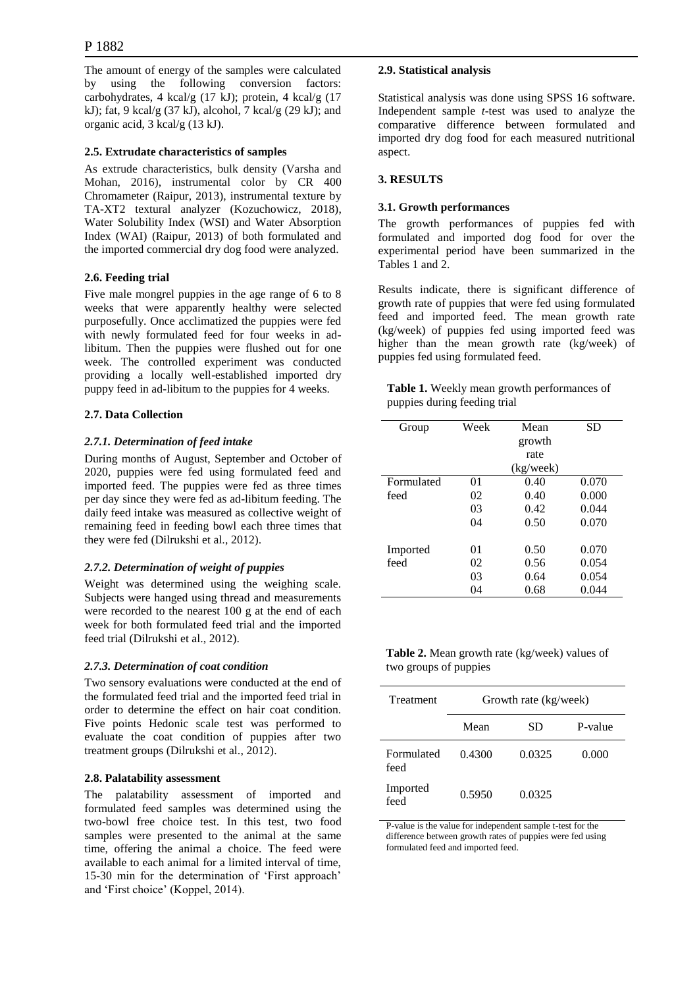#### P 1882

The amount of energy of the samples were calculated by using the following conversion factors: carbohydrates, 4 kcal/g (17 kJ); protein, 4 kcal/g (17 kJ); fat, 9 kcal/g (37 kJ), alcohol, 7 kcal/g (29 kJ); and organic acid, 3 kcal/g (13 kJ).

#### **2.5. Extrudate characteristics of samples**

As extrude characteristics, bulk density (Varsha and Mohan, 2016), instrumental color by CR 400 Chromameter (Raipur, 2013), instrumental texture by TA-XT2 textural analyzer (Kozuchowicz, 2018), Water Solubility Index (WSI) and Water Absorption Index (WAI) (Raipur, 2013) of both formulated and the imported commercial dry dog food were analyzed.

### **2.6. Feeding trial**

Five male mongrel puppies in the age range of 6 to 8 weeks that were apparently healthy were selected purposefully. Once acclimatized the puppies were fed with newly formulated feed for four weeks in adlibitum. Then the puppies were flushed out for one week. The controlled experiment was conducted providing a locally well-established imported dry puppy feed in ad-libitum to the puppies for 4 weeks.

### **2.7. Data Collection**

### *2.7.1. Determination of feed intake*

During months of August, September and October of 2020, puppies were fed using formulated feed and imported feed. The puppies were fed as three times per day since they were fed as ad-libitum feeding. The daily feed intake was measured as collective weight of remaining feed in feeding bowl each three times that they were fed (Dilrukshi et al., 2012).

## *2.7.2. Determination of weight of puppies*

Weight was determined using the weighing scale. Subjects were hanged using thread and measurements were recorded to the nearest 100 g at the end of each week for both formulated feed trial and the imported feed trial (Dilrukshi et al., 2012).

#### *2.7.3. Determination of coat condition*

Two sensory evaluations were conducted at the end of the formulated feed trial and the imported feed trial in order to determine the effect on hair coat condition. Five points Hedonic scale test was performed to evaluate the coat condition of puppies after two treatment groups (Dilrukshi et al., 2012).

#### **2.8. Palatability assessment**

The palatability assessment of imported and formulated feed samples was determined using the two-bowl free choice test. In this test, two food samples were presented to the animal at the same time, offering the animal a choice. The feed were available to each animal for a limited interval of time, 15-30 min for the determination of 'First approach' and 'First choice' (Koppel, 2014).

### **2.9. Statistical analysis**

Statistical analysis was done using SPSS 16 software. Independent sample *t*-test was used to analyze the comparative difference between formulated and imported dry dog food for each measured nutritional aspect.

#### **3. RESULTS**

#### **3.1. Growth performances**

The growth performances of puppies fed with formulated and imported dog food for over the experimental period have been summarized in the Tables 1 and 2.

Results indicate, there is significant difference of growth rate of puppies that were fed using formulated feed and imported feed. The mean growth rate (kg/week) of puppies fed using imported feed was higher than the mean growth rate (kg/week) of puppies fed using formulated feed.

**Table 1.** Weekly mean growth performances of puppies during feeding trial

| Group      | Week | Mean      | SD    |
|------------|------|-----------|-------|
|            |      | growth    |       |
|            |      | rate      |       |
|            |      | (kg/week) |       |
| Formulated | 01   | 0.40      | 0.070 |
| feed       | 02   | 0.40      | 0.000 |
|            | 03   | 0.42      | 0.044 |
|            | 04   | 0.50      | 0.070 |
| Imported   | 01   | 0.50      | 0.070 |
| feed       | 02   | 0.56      | 0.054 |
|            |      |           |       |
|            | 03   | 0.64      | 0.054 |
|            | 04   | 0.68      | 0.044 |

**Table 2.** Mean growth rate (kg/week) values of two groups of puppies

| Treatment          | Growth rate (kg/week) |        |         |
|--------------------|-----------------------|--------|---------|
|                    | Mean                  | SD     | P-value |
| Formulated<br>feed | 0.4300                | 0.0325 | 0.000   |
| Imported<br>feed   | 0.5950                | 0.0325 |         |

P-value is the value for independent sample t-test for the difference between growth rates of puppies were fed using formulated feed and imported feed.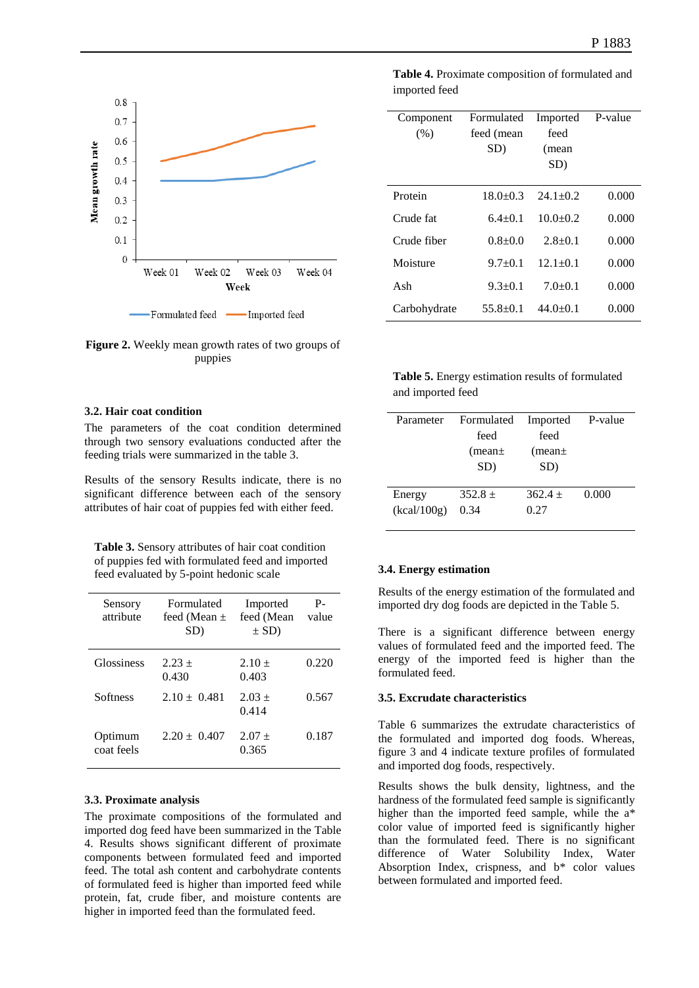

**Figure 2.** Weekly mean growth rates of two groups of puppies

#### **3.2. Hair coat condition**

The parameters of the coat condition determined through two sensory evaluations conducted after the feeding trials were summarized in the table 3.

Results of the sensory Results indicate, there is no significant difference between each of the sensory attributes of hair coat of puppies fed with either feed.

Table 3. Sensory attributes of hair coat condition of puppies fed with formulated feed and imported feed evaluated by 5-point hedonic scale

| Sensory<br>attribute  | Formulated<br>feed (Mean $\pm$<br>SD) | Imported<br>feed (Mean<br>$\pm$ SD) | $P-$<br>value |
|-----------------------|---------------------------------------|-------------------------------------|---------------|
| Glossiness            | $2.23 +$<br>0.430                     | $2.10 +$<br>0.403                   | 0.220         |
| Softness              | $2.10 + 0.481$                        | $2.03 +$<br>0.414                   | 0.567         |
| Optimum<br>coat feels | $2.20 \pm 0.407$                      | $2.07 +$<br>0.365                   | 0.187         |

#### **3.3. Proximate analysis**

The proximate compositions of the formulated and imported dog feed have been summarized in the Table 4. Results shows significant different of proximate components between formulated feed and imported feed. The total ash content and carbohydrate contents of formulated feed is higher than imported feed while protein, fat, crude fiber, and moisture contents are higher in imported feed than the formulated feed.

**Table 4.** Proximate composition of formulated and imported feed

| Component<br>(% ) | Formulated<br>feed (mean<br>SD) | Imported<br>feed<br>(mean<br>SD) | P-value |
|-------------------|---------------------------------|----------------------------------|---------|
| Protein           | $18.0 + 0.3$                    | $24.1 + 0.2$                     | 0.000   |
| Crude fat         | $6.4 + 0.1$                     | $10.0+0.2$                       | 0.000   |
| Crude fiber       | $0.8 + 0.0$                     | $2.8 + 0.1$                      | 0.000   |
| Moisture          | $9.7+0.1$                       | $12.1 + 0.1$                     | 0.000   |
| Ash               | $9.3+0.1$                       | $7.0 + 0.1$                      | 0.000   |
| Carbohydrate      | $55.8 + 0.1$                    | $44.0 + 0.1$                     | 0.000   |

| Table 5. Energy estimation results of formulated |
|--------------------------------------------------|
| and imported feed                                |

| Parameter   | Formulated   | Imported     | P-value |
|-------------|--------------|--------------|---------|
|             | feed         | feed         |         |
|             | $(mean \pm)$ | $(mean \pm)$ |         |
|             | SD)          | SD)          |         |
|             |              |              |         |
| Energy      | $352.8 +$    | $362.4 +$    | 0.000   |
| (kcal/100g) | 0.34         | 0.27         |         |
|             |              |              |         |

#### **3.4. Energy estimation**

Results of the energy estimation of the formulated and imported dry dog foods are depicted in the Table 5.

There is a significant difference between energy values of formulated feed and the imported feed. The energy of the imported feed is higher than the formulated feed.

#### **3.5. Excrudate characteristics**

Table 6 summarizes the extrudate characteristics of the formulated and imported dog foods. Whereas, figure 3 and 4 indicate texture profiles of formulated and imported dog foods, respectively.

Results shows the bulk density, lightness, and the hardness of the formulated feed sample is significantly higher than the imported feed sample, while the a\* color value of imported feed is significantly higher than the formulated feed. There is no significant difference of Water Solubility Index, Water Absorption Index, crispness, and b\* color values between formulated and imported feed.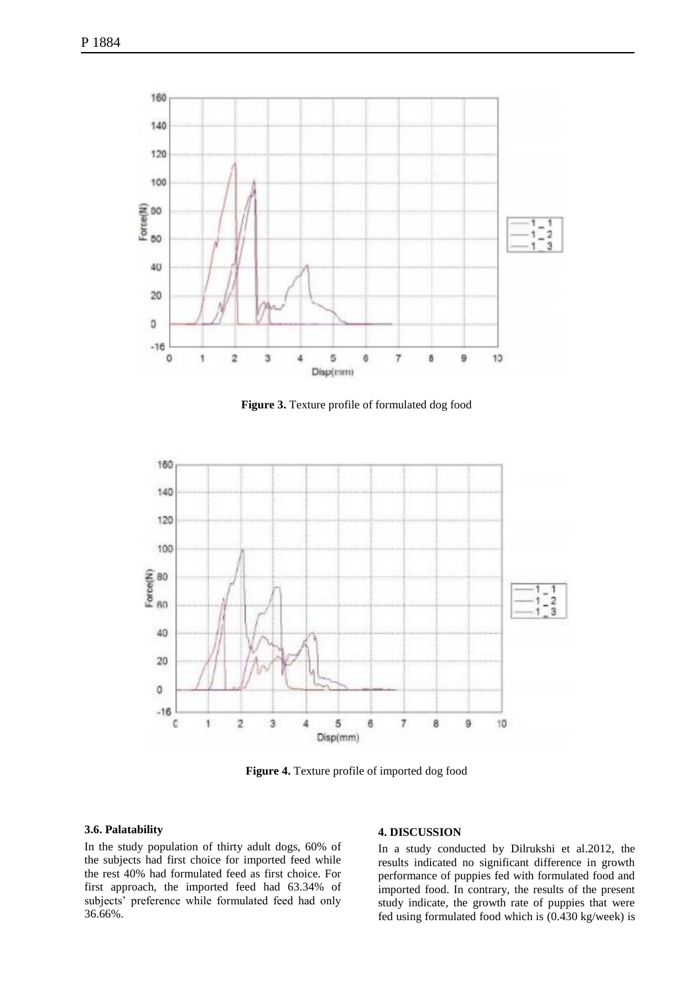

**Figure 3.** Texture profile of formulated dog food



**Figure 4.** Texture profile of imported dog food

#### **3.6. Palatability**

In the study population of thirty adult dogs, 60% of the subjects had first choice for imported feed while the rest 40% had formulated feed as first choice. For first approach, the imported feed had 63.34% of subjects' preference while formulated feed had only 36.66%.

#### **4. DISCUSSION**

In a study conducted by Dilrukshi et al.2012, the results indicated no significant difference in growth performance of puppies fed with formulated food and imported food. In contrary, the results of the present study indicate, the growth rate of puppies that were fed using formulated food which is (0.430 kg/week) is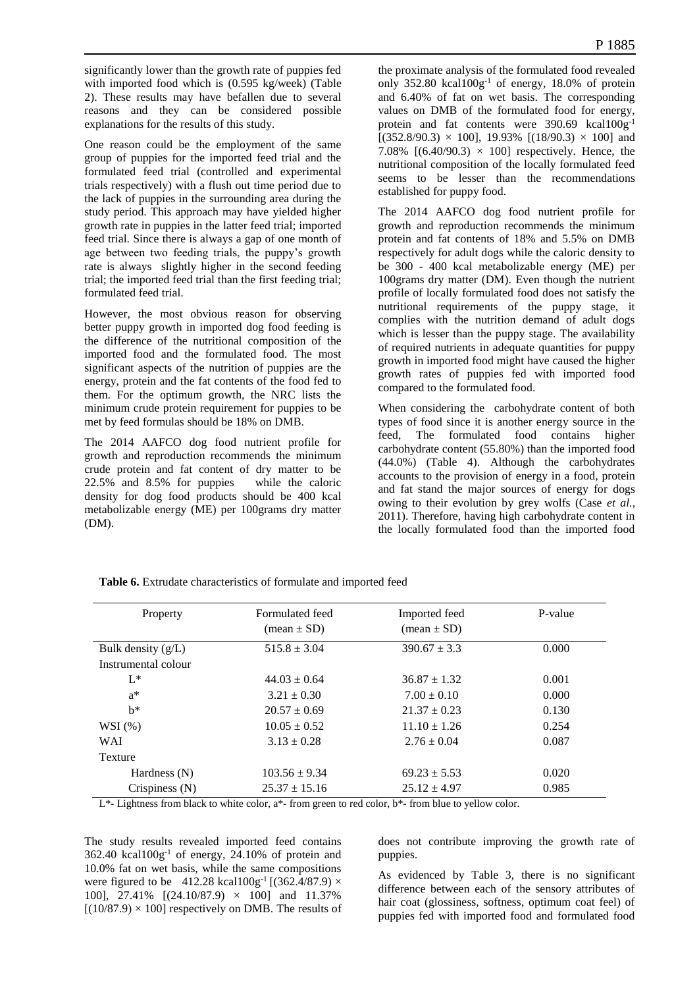significantly lower than the growth rate of puppies fed with imported food which is (0.595 kg/week) (Table 2). These results may have befallen due to several reasons and they can be considered possible explanations for the results of this study.

One reason could be the employment of the same group of puppies for the imported feed trial and the formulated feed trial (controlled and experimental trials respectively) with a flush out time period due to the lack of puppies in the surrounding area during the study period. This approach may have yielded higher growth rate in puppies in the latter feed trial; imported feed trial. Since there is always a gap of one month of age between two feeding trials, the puppy's growth rate is always slightly higher in the second feeding trial; the imported feed trial than the first feeding trial; formulated feed trial.

However, the most obvious reason for observing better puppy growth in imported dog food feeding is the difference of the nutritional composition of the imported food and the formulated food. The most significant aspects of the nutrition of puppies are the energy, protein and the fat contents of the food fed to them. For the optimum growth, the NRC lists the minimum crude protein requirement for puppies to be met by feed formulas should be 18% on DMB.

The 2014 AAFCO dog food nutrient profile for growth and reproduction recommends the minimum crude protein and fat content of dry matter to be 22.5% and 8.5% for puppies while the caloric density for dog food products should be 400 kcal metabolizable energy (ME) per 100grams dry matter (DM).

the proximate analysis of the formulated food revealed only  $352.80$  kcal $100g^{-1}$  of energy,  $18.0\%$  of protein and 6.40% of fat on wet basis. The corresponding values on DMB of the formulated food for energy, protein and fat contents were 390.69 kcal100g<sup>-1</sup>  $[(352.8/90.3) \times 100]$ , 19.93%  $[(18/90.3) \times 100]$  and 7.08%  $[(6.40/90.3) \times 100]$  respectively. Hence, the nutritional composition of the locally formulated feed seems to be lesser than the recommendations established for puppy food.

The 2014 AAFCO dog food nutrient profile for growth and reproduction recommends the minimum protein and fat contents of 18% and 5.5% on DMB respectively for adult dogs while the caloric density to be 300 - 400 kcal metabolizable energy (ME) per 100grams dry matter (DM). Even though the nutrient profile of locally formulated food does not satisfy the nutritional requirements of the puppy stage, it complies with the nutrition demand of adult dogs which is lesser than the puppy stage. The availability of required nutrients in adequate quantities for puppy growth in imported food might have caused the higher growth rates of puppies fed with imported food compared to the formulated food.

When considering the carbohydrate content of both types of food since it is another energy source in the feed, The formulated food contains higher carbohydrate content (55.80%) than the imported food (44.0%) (Table 4). Although the carbohydrates accounts to the provision of energy in a food, protein and fat stand the major sources of energy for dogs owing to their evolution by grey wolfs (Case *et al.*, 2011). Therefore, having high carbohydrate content in the locally formulated food than the imported food

| Property             | Formulated feed<br>$(\text{mean} \pm SD)$ | Imported feed<br>$(\text{mean} \pm \text{SD})$ | P-value |
|----------------------|-------------------------------------------|------------------------------------------------|---------|
| Bulk density $(g/L)$ | $515.8 \pm 3.04$                          | $390.67 \pm 3.3$                               | 0.000   |
| Instrumental colour  |                                           |                                                |         |
| $L^*$                | $44.03 \pm 0.64$                          | $36.87 \pm 1.32$                               | 0.001   |
| $a^*$                | $3.21 \pm 0.30$                           | $7.00 \pm 0.10$                                | 0.000   |
| $h^*$                | $20.57 \pm 0.69$                          | $21.37 \pm 0.23$                               | 0.130   |
| WSI(%)               | $10.05 \pm 0.52$                          | $11.10 \pm 1.26$                               | 0.254   |
| <b>WAI</b>           | $3.13 \pm 0.28$                           | $2.76 \pm 0.04$                                | 0.087   |
| Texture              |                                           |                                                |         |
| Hardness $(N)$       | $103.56 \pm 9.34$                         | $69.23 \pm 5.53$                               | 0.020   |
| Crispiness $(N)$     | $25.37 \pm 15.16$                         | $25.12 \pm 4.97$                               | 0.985   |

**Table 6.** Extrudate characteristics of formulate and imported feed

 $L^*$ - Lightness from black to white color, a<sup>\*</sup>- from green to red color, b<sup>\*</sup>- from blue to yellow color.

The study results revealed imported feed contains  $362.40$  kcal $100g^{-1}$  of energy,  $24.10\%$  of protein and 10.0% fat on wet basis, while the same compositions were figured to be 412.28 kcal100g<sup>-1</sup> [(362.4/87.9)  $\times$ 100], 27.41% [(24.10/87.9) × 100] and 11.37%  $[(10/87.9) \times 100]$  respectively on DMB. The results of does not contribute improving the growth rate of puppies.

As evidenced by Table 3, there is no significant difference between each of the sensory attributes of hair coat (glossiness, softness, optimum coat feel) of puppies fed with imported food and formulated food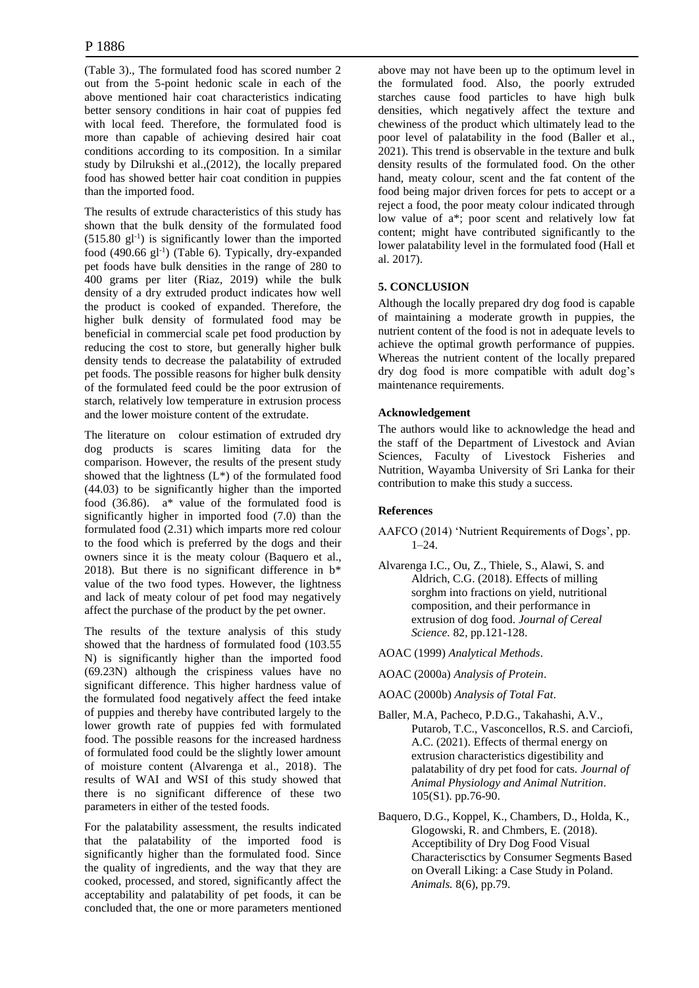(Table 3)., The formulated food has scored number 2 out from the 5-point hedonic scale in each of the above mentioned hair coat characteristics indicating better sensory conditions in hair coat of puppies fed with local feed. Therefore, the formulated food is more than capable of achieving desired hair coat conditions according to its composition. In a similar study by Dilrukshi et al.,(2012), the locally prepared food has showed better hair coat condition in puppies than the imported food.

The results of extrude characteristics of this study has shown that the bulk density of the formulated food  $(515.80 \text{ gl}^{-1})$  is significantly lower than the imported food (490.66 gl<sup>-1</sup>) (Table 6). Typically, dry-expanded pet foods have bulk densities in the range of 280 to 400 grams per liter (Riaz, 2019) while the bulk density of a dry extruded product indicates how well the product is cooked of expanded. Therefore, the higher bulk density of formulated food may be beneficial in commercial scale pet food production by reducing the cost to store, but generally higher bulk density tends to decrease the palatability of extruded pet foods. The possible reasons for higher bulk density of the formulated feed could be the poor extrusion of starch, relatively low temperature in extrusion process and the lower moisture content of the extrudate.

The literature on colour estimation of extruded dry dog products is scares limiting data for the comparison. However, the results of the present study showed that the lightness  $(L^*)$  of the formulated food (44.03) to be significantly higher than the imported food (36.86). a\* value of the formulated food is significantly higher in imported food (7.0) than the formulated food (2.31) which imparts more red colour to the food which is preferred by the dogs and their owners since it is the meaty colour (Baquero et al., 2018). But there is no significant difference in  $b^*$ value of the two food types. However, the lightness and lack of meaty colour of pet food may negatively affect the purchase of the product by the pet owner.

The results of the texture analysis of this study showed that the hardness of formulated food (103.55 N) is significantly higher than the imported food (69.23N) although the crispiness values have no significant difference. This higher hardness value of the formulated food negatively affect the feed intake of puppies and thereby have contributed largely to the lower growth rate of puppies fed with formulated food. The possible reasons for the increased hardness of formulated food could be the slightly lower amount of moisture content (Alvarenga et al., 2018). The results of WAI and WSI of this study showed that there is no significant difference of these two parameters in either of the tested foods.

For the palatability assessment, the results indicated that the palatability of the imported food is significantly higher than the formulated food. Since the quality of ingredients, and the way that they are cooked, processed, and stored, significantly affect the acceptability and palatability of pet foods, it can be concluded that, the one or more parameters mentioned above may not have been up to the optimum level in the formulated food. Also, the poorly extruded starches cause food particles to have high bulk densities, which negatively affect the texture and chewiness of the product which ultimately lead to the poor level of palatability in the food (Baller et al., 2021). This trend is observable in the texture and bulk density results of the formulated food. On the other hand, meaty colour, scent and the fat content of the food being major driven forces for pets to accept or a reject a food, the poor meaty colour indicated through low value of a\*; poor scent and relatively low fat content; might have contributed significantly to the lower palatability level in the formulated food (Hall et al. 2017).

## **5. CONCLUSION**

Although the locally prepared dry dog food is capable of maintaining a moderate growth in puppies, the nutrient content of the food is not in adequate levels to achieve the optimal growth performance of puppies. Whereas the nutrient content of the locally prepared dry dog food is more compatible with adult dog's maintenance requirements.

## **Acknowledgement**

The authors would like to acknowledge the head and the staff of the Department of Livestock and Avian Sciences, Faculty of Livestock Fisheries and Nutrition, Wayamba University of Sri Lanka for their contribution to make this study a success.

## **References**

- AAFCO (2014) 'Nutrient Requirements of Dogs', pp. 1–24.
- Alvarenga I.C., Ou, Z., Thiele, S., Alawi, S. and Aldrich, C.G. (2018). Effects of milling sorghm into fractions on yield, nutritional composition, and their performance in extrusion of dog food. *Journal of Cereal Science.* 82, pp.121-128.
- AOAC (1999) *Analytical Methods*.
- AOAC (2000a) *Analysis of Protein*.
- AOAC (2000b) *Analysis of Total Fat*.
- Baller, M.A, Pacheco, P.D.G., Takahashi, A.V., Putarob, T.C., Vasconcellos, R.S. and Carciofi, A.C. (2021). Effects of thermal energy on extrusion characteristics digestibility and palatability of dry pet food for cats. *Journal of Animal Physiology and Animal Nutrition.*  105(S1). pp.76-90.
- Baquero, D.G., Koppel, K., Chambers, D., Holda, K., Glogowski, R. and Chmbers, E. (2018). Acceptibility of Dry Dog Food Visual Characterisctics by Consumer Segments Based on Overall Liking: a Case Study in Poland. *Animals.* 8(6), pp.79.